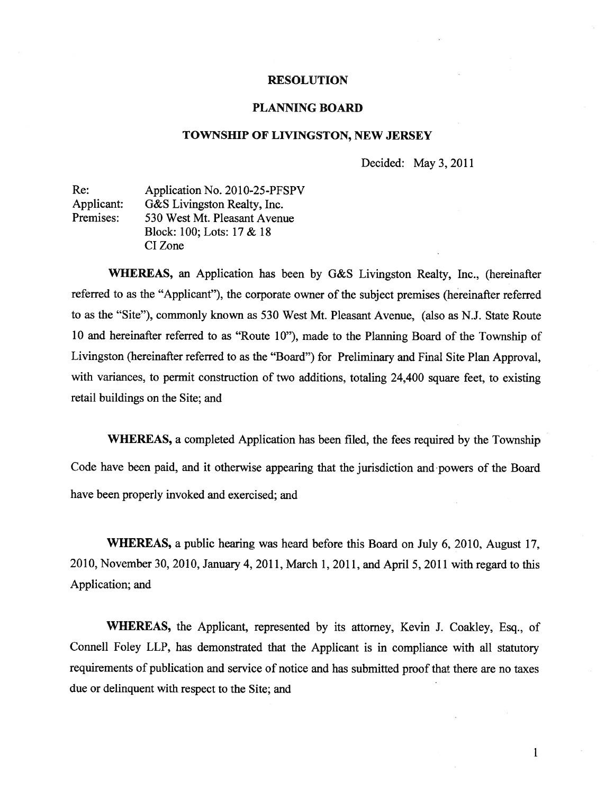#### RESOLUTION

#### PLANNING BOARD

#### TOWNSHIP OF LIVINGSTON, NEW JERSEY

Decided: May 3, 2011

| Re:        | Application No. 2010-25-PFSPV |
|------------|-------------------------------|
| Applicant: | G&S Livingston Realty, Inc.   |
| Premises:  | 530 West Mt. Pleasant Avenue  |
|            | Block: 100; Lots: 17 & 18     |
|            | CI Zone                       |

WHEREAS, an Application has been by G&S Livingston Realty, Inc., (hereinafter referred to as the "Applicant"), the corporate owner of the subject premises (hereinafter referred to as the "Site"), commonly known as 530 West Mt. Pleasant Avenue, (also as N.J. State Route <sup>10</sup> and hereinafter referred to as "Route 10"), made to the Planning Board of the Township of Livingston (hereinafter referred to as the "Board") for Preliminary and Final Site Plan Approval, with variances, to permit construction of two additions, totaling 24,400 square feet, to existing retail buildings on the Site; and

WHEREAS, <sup>a</sup> completed Application has been filed, the fees required by the Township Code have been paid, and it otherwise appearing that the jurisdiction and powers of the Board have been properly invoked and exercised; and

WHEREAS, <sup>a</sup> public hearing was heard before this Board on July 6, 2010, August 17, 2010, November 30, 2010, January 4, 2011, March 1, 2011, and April 5, <sup>2011</sup> with regar<sup>d</sup> to this Application; and

WHEREAS, the Applicant, represented by its attorney, Kevin J. Coakley, Esq., of Connell Foley LLP, has demonstrated that the Applicant is in compliance with all statutory requirements of publication and service of notice and has submitted proo<sup>f</sup> that there are no taxes due or delinquent with respec<sup>t</sup> to the Site; and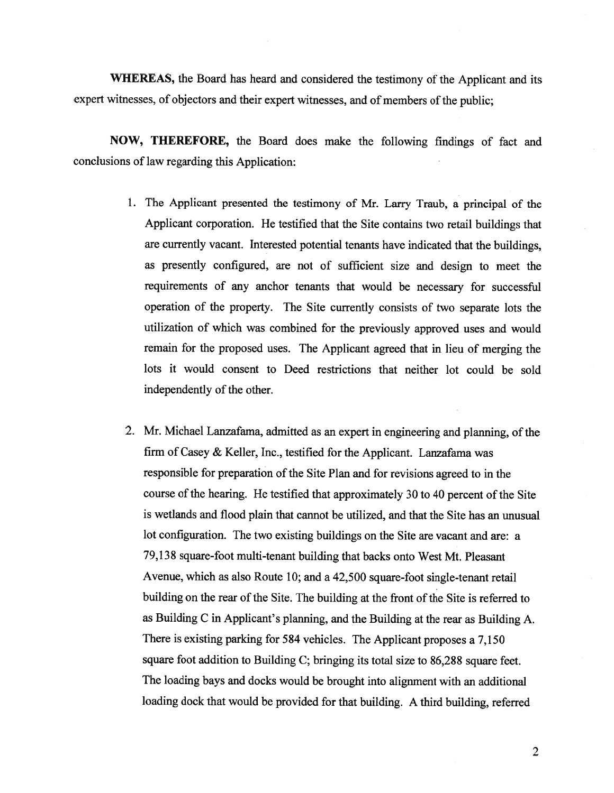WHEREAS, the Board has heard and considered the testimony of the Applicant and its expert witnesses, of objectors and their expert witnesses, and of members of the public;

NOW, THEREFORE, the Board does make the following findings of fact and conclusions of law regarding this Application:

- 1. The Applicant presented the testimony of Mr. Larry Traub, <sup>a</sup> principal of the Applicant corporation. He testified that the Site contains two retail buildings that are currently vacant. Interested potential tenants have indicated that the buildings, as presently configured, are not of sufficient size and design to meet the requirements of any anchor tenants that would be necessary for successful operation of the property. The Site currently consists of two separate lots the utilization of which was combined for the previously approved uses and would remain for the propose<sup>d</sup> uses. The Applicant agree<sup>d</sup> that in lieu of merging the lots it would consent to Deed restrictions that neither lot could be sold independently of the other.
- 2. Mr. Michael Lanzafama, admitted as an expert in engineering and planning, of the firm of Casey & Keller, Inc., testified for the Applicant. Lanzafama was responsible for preparation of the Site Plan and for revisions agree<sup>d</sup> to in the course of the hearing. He testified that approximately 30 to 40 percent of the Site is wetlands and flood plain that cannot be utilized, and that the Site has an unusual lot configuration. The two existing buildings on the Site are vacant and are: <sup>a</sup> 79,138 square-foot multi-tenant building that backs onto West Mt. Pleasant Avenue, which as also Route 10; and <sup>a</sup> 42,500 square-foot single-tenant retail building on the rear of the Site. The building at the front of the Site is referred to as Building <sup>C</sup> in Applicant's <sup>p</sup>lanning, and the Building at the rear as Building A. There is existing parking for <sup>584</sup> vehicles. The Applicant proposes <sup>a</sup> 7,150 square foot addition to Building C; bringing its total size to 86,288 square feet. The loading bays and docks would be brought into alignment with an additional loading dock that would be provided for that building. <sup>A</sup> third building, referred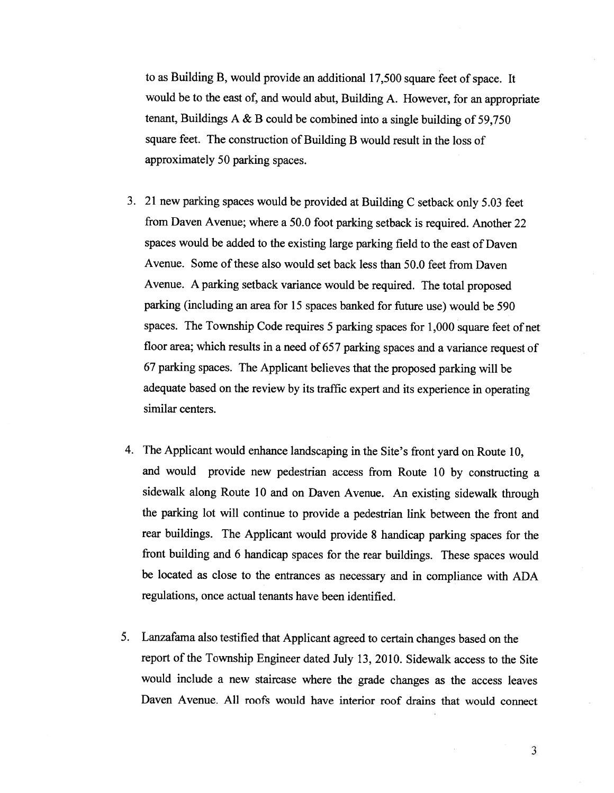to as Building B, would provide an additional 17,500 square feet of space. It would be to the east of, and would abut, Building A. However, for an appropriate tenant, Buildings <sup>A</sup> & <sup>B</sup> could be combined into <sup>a</sup> single building of 59,750 square feet. The construction of Building <sup>B</sup> would result in the loss of approximately 50 parking spaces.

- 3. <sup>21</sup> new parking spaces would be provided at Building <sup>C</sup> setback only 5.03 feet from Daven Avenue; where <sup>a</sup> 50.0 foot parking setback is required. Another <sup>22</sup> spaces would be added to the existing large parking field to the east of Daven Avenue. Some of these also would set back less than 50.0 feet from Daven Avenue. <sup>A</sup> parking setback variance would be required. The total proposed parking (including an area for <sup>15</sup> spaces banked for future use) would be 590 spaces. The Township Code requires <sup>5</sup> parking spaces for 1,000 square feet of net floor area; which results in <sup>a</sup> need of <sup>657</sup> parking spaces and <sup>a</sup> variance request of <sup>67</sup> parking spaces. The Applicant believes that the proposed parking will be adequate based on the review by its traffic expert and its experience in operating similar centers.
- 4. The Applicant would enhance landscaping in the Site's front yard on Route 10, and would provide new pedestrian access from Route <sup>10</sup> by constructing <sup>a</sup> sidewalk along Route <sup>10</sup> and on Daven Avenue. An existing sidewalk through the parking lot will continue to provide <sup>a</sup> pedestrian link between the front and rear buildings. The Applicant would provide <sup>8</sup> handicap parking spaces for the front building and <sup>6</sup> handicap spaces for the rear buildings. These spaces would be located as close to the entrances as necessary and in compliance with ADA regulations, once actual tenants have been identified.
- 5. Lanzafama also testified that Applicant agreed to certain changes based on the report of the Township Engineer dated July 13, 2010. Sidewalk access to the Site would include <sup>a</sup> new staircase where the grade changes as the access leaves Daven Avenue. All roofs would have interior roof drains that would connect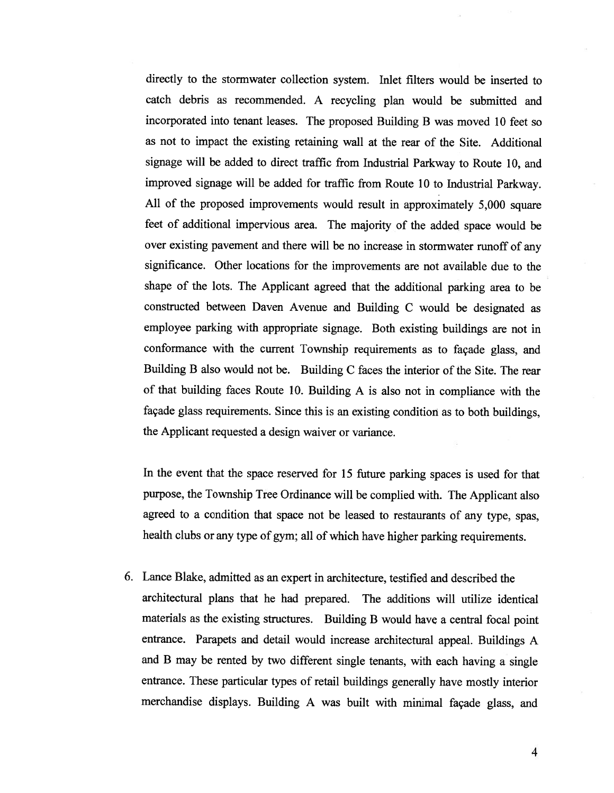directly to the stormwater collection system. Inlet filters would be inserted to catch debris as recommended. <sup>A</sup> recycling <sup>p</sup>lan would be submitted and incorporated into tenant leases. The propose<sup>d</sup> Building <sup>B</sup> was moved <sup>10</sup> feet so as not to impact the existing retaining wall at the rear of the Site. Additional signage will be added to direct traffic from Industrial Parkway to Route 10, and improved signage will be added for traffic from Route <sup>10</sup> to Industrial Parkway. All of the proposed improvements would result in approximately 5,000 square feet of additional impervious area. The majority of the added space would be over existing pavemen<sup>t</sup> and there will be no increase in stormwater runoff of any significance. Other locations for the improvements are not available due to the shape of the lots. The Applicant agree<sup>d</sup> that the additional parking area to be constructed between Daven Avenue and Building <sup>C</sup> would be designated as employee parking with appropriate signage. Both existing buildings are not in conformance with the current Township requirements as to façade <sup>g</sup>lass, and Building <sup>B</sup> also would not be. Building C faces the interior of the Site. The rear of that building faces Route 10. Building <sup>A</sup> is also not in compliance with the façade <sup>g</sup>lass requirements. Since this is an existing condition as to both buildings, the Applicant requested <sup>a</sup> design waiver or variance.

In the event that the space reserved for <sup>15</sup> future parking spaces is used for that purpose, the Township Tree Ordinance will be complied with. The Applicant also agree<sup>d</sup> to <sup>a</sup> condition that space not be leased to restaurants of any type, spas, health clubs or any type of gym; all of which have higher parking requirements.

6. Lance Blake, admitted as an exper<sup>t</sup> in architecture, testified and described the architectural <sup>p</sup>lans that he had prepared. The additions will utilize identical materials as the existing structures. Building <sup>B</sup> would have <sup>a</sup> central focal point entrance. Parapets and detail would increase architectural appeal. Buildings <sup>A</sup> and <sup>B</sup> may be rented by two different single tenants, with each having <sup>a</sup> single entrance. These particular types of retail buildings generally have mostly interior merchandise displays. Building <sup>A</sup> was built with minimal façade <sup>g</sup>lass, and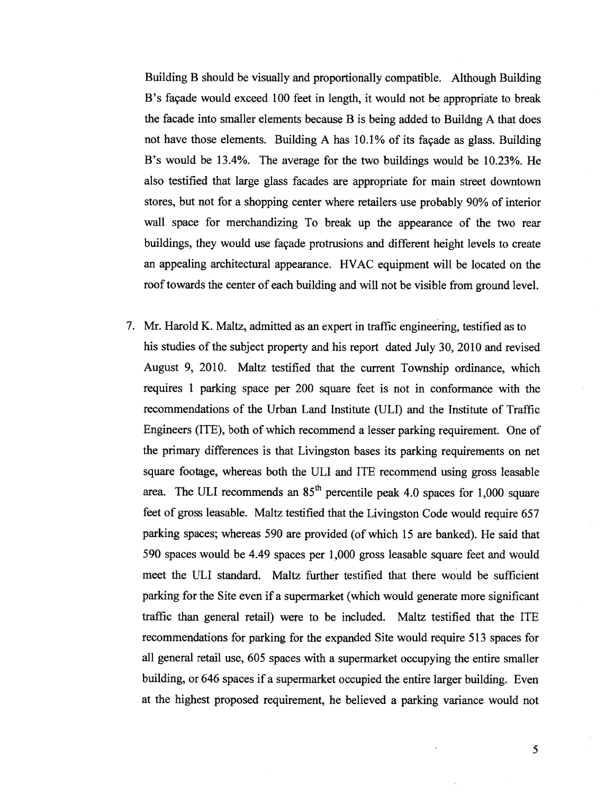Building <sup>B</sup> should be visually and proportionally compatible. Although Building B's façade would exceed 100 feet in length, it would not be appropriate to break the facade into smaller elements because <sup>B</sup> is being added to Buildng <sup>A</sup> that does not have those elements. Building <sup>A</sup> has 10.1% of its façade as <sup>g</sup>lass. Building B's would be 13.4%. The average for the two buildings would be 10.23%. He also testified that large glass facades are appropriate for main street downtown stores, but not for <sup>a</sup> shopping center where retailers use probably 90% of interior wall space for merchandizing To break up the appearance of the two rear buildings, they would use façade protrusions and different height levels to create an appealing architectural appearance. HVAC equipment will be located on the roof towards the center of each building and will not be visible from ground level.

7. Mr. Harold K. Maltz, admitted as an exper<sup>t</sup> in traffic engineering, testified as to his studies of the subject property and his repor<sup>t</sup> dated July 30, 2010 and revised August 9, 2010. Maltz testified that the current Township ordinance, which requires 1 parking space per 200 square feet is not in conformance with the recommendations of the Urban Land Institute (ULI) and the Institute of Traffic Engineers (ITE), both of which recommend <sup>a</sup> lesser parking requirement. One of the primary differences is that Livingston bases its parking requirements on net square footage, whereas both the ULI and ITE recommend using gross leasable area. The ULI recommends an  $85<sup>th</sup>$  percentile peak 4.0 spaces for 1,000 square feet of gross leasable. Maltz testified that the Livingston Code would require 657 parking spaces; whereas 590 are provided (of which 15 are banked). He said that 590 spaces would be 4.49 spaces per 1,000 gross leasable square feet and would meet the ULI standard. Maltz further testified that there would be sufficient parking for the Site even if <sup>a</sup> supermarket (which would generate more significant traffic than general retail) were to be included. Maltz testified that the ITE recommendations for parking for the expanded Site would require 513 spaces for all general retail use, 605 spaces with <sup>a</sup> supermarket occupying the entire smaller building, or 646 spaces if <sup>a</sup> supermarket occupied the entire larger building. Even at the highest proposed requirement, he believed <sup>a</sup> parking variance would not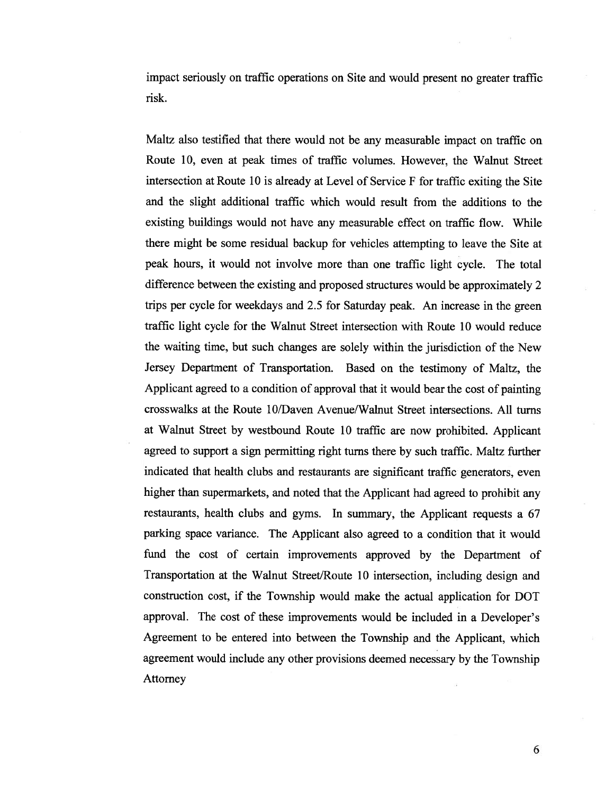impact seriously on traffic operations on Site and would presen<sup>t</sup> no greater traffic risk.

Maltz also testified that there would not be any measurable impact on traffic on Route 10, even at peak times of traffic volumes. However, the Walnut Street intersection at Route <sup>10</sup> is already at Level of Service <sup>F</sup> for traffic exiting the Site and the slight additional traffic which would result from the additions to the existing buildings would not have any measurable effect on traffic flow. While there might be some residual backup for vehicles attempting to leave the Site at pea<sup>k</sup> hours, it would not involve more than one traffic light cycle. The total difference between the existing and proposed structures would be approximately <sup>2</sup> trips per cycle for weekdays and 2.5 for Saturday peak. An increase in the green traffic light cycle for the Walnut Street intersection with Route 10 would reduce the waiting time, but such changes are solely within the jurisdiction of the New Jersey Department of Transportation. Based on the testimony of Maltz, the Applicant agreed to <sup>a</sup> condition of approval that it would bear the cost of painting crosswalks at the Route 1 0/Daven Avenue/Walnut Street intersections. All turns at Walnut Street by westbound Route 10 traffic are now prohibited. Applicant agree<sup>d</sup> to suppor<sup>t</sup> <sup>a</sup> sign permitting right turns there by such traffic. Maltz further indicated that health clubs and restaurants are significant traffic generators, even higher than supermarkets, and noted that the Applicant had agree<sup>d</sup> to prohibit any restaurants, health clubs and gyms. In summary, the Applicant requests <sup>a</sup> <sup>67</sup> parking space variance. The Applicant also agreed to <sup>a</sup> condition that it would fund the cost of certain improvements approve<sup>d</sup> by the Department of Transportation at the Walnut Street/Route <sup>10</sup> intersection, including design and construction cost, if the Township would make the actual application for DOT approval. The cost of these improvements would be included in <sup>a</sup> Developer's Agreement to be entered into between the Township and the Applicant, which agreemen<sup>t</sup> would include any other provisions deemed necessary by the Township Attorney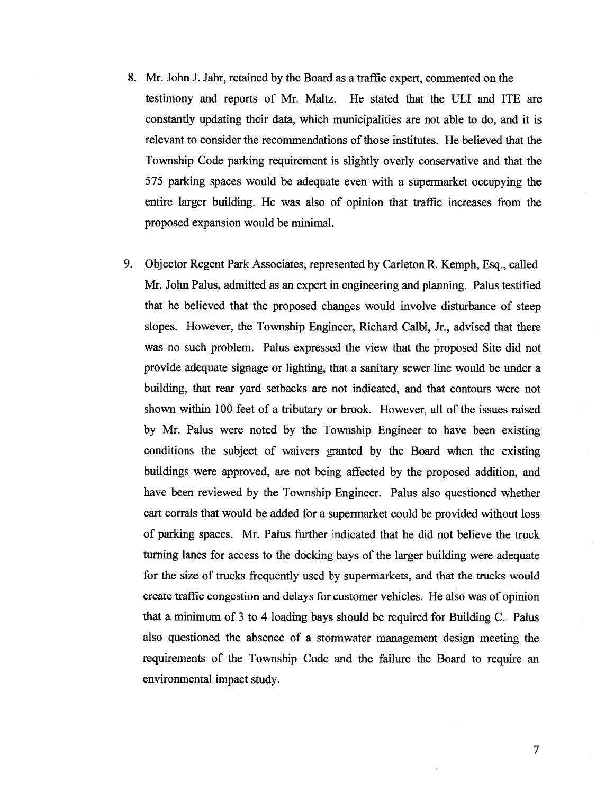- 8. Mr. John J. Jahr, retained by the Board as <sup>a</sup> traffic expert, commented on the testimony and reports of Mr. Maltz. He stated that the ULI and ITE are constantly updating their data, which municipalities are not able to do, and it is relevant to consider the recommendations of those institutes. He believed that the Township Code parking requirement is slightly overly conservative and that the 575 parking spaces would be adequate even with <sup>a</sup> supermarket occupying the entire larger building. He was also of opinion that traffic increases from the proposed expansion would be minimal.
- 9. Objector Regent Park Associates, represented by Carleton R. Kemph, Esq., called Mr. John Palus, admitted as an exper<sup>t</sup> in engineering and planning. Palus testified that he believed that the proposed changes would involve disturbance of steep slopes. However, the Township Engineer, Richard Calbi, Jr., advised that there was no such problem. Palus expressed the view that the proposed Site did not provide adequate signage or lighting, that <sup>a</sup> sanitary sewer line would be under <sup>a</sup> building, that rear yard setbacks are not indicated, and that contours were not shown within 100 feet of <sup>a</sup> tributary or brook. However, all of the issues raised by Mr. Palus were noted by the Township Engineer to have been existing conditions the subject of waivers granted by the Board when the existing buildings were approved, are not being affected by the proposed addition, and have been reviewed by the Township Engineer. Palus also questioned whether cart corrals that would be added for <sup>a</sup> supermarket could be provided without loss of parking spaces. Mr. Palus further indicated that he did not believe the truck turning lanes for access to the docking bays of the larger building were adequate for the size of trucks frequently used by supermarkets, and that the trucks would create traffic congestion and delays for customer vehicles. He also was of opinion that <sup>a</sup> minimum of 3 to 4 loading bays should be required for Building C. Palus also questioned the absence of <sup>a</sup> stormwater managemen<sup>t</sup> design meeting the requirements of the Township Code and the failure the Board to require an environmental impact study.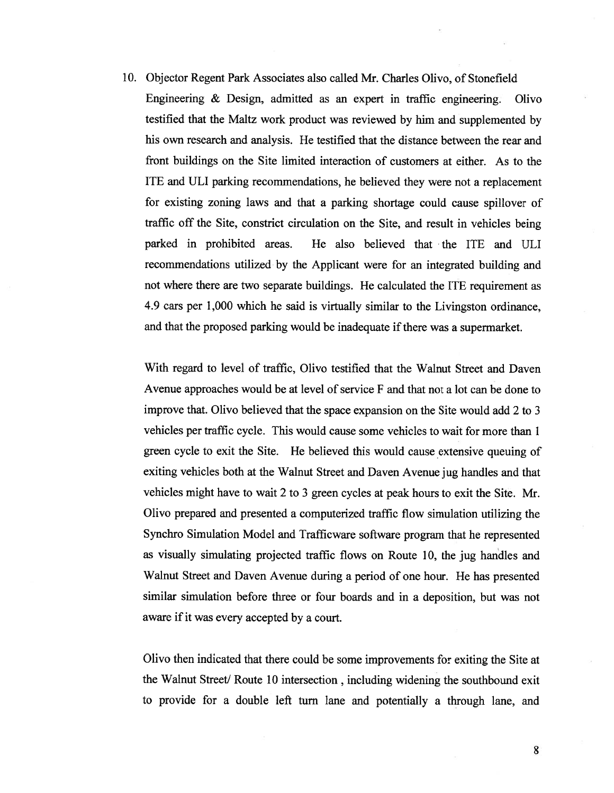10. Objector Regent Park Associates also called Mr. Charles Olivo, of Stonefield Engineering & Design, admitted as an exper<sup>t</sup> in traffic engineering. Olivo testified that the Maltz work product was reviewed by him and supplemented by his own research and analysis. He testified that the distance between the rear and front buildings on the Site limited interaction of customers at either. As to the ITE and ULI parking recommendations, he believed they were not <sup>a</sup> replacement for existing zoning laws and that <sup>a</sup> parking shortage could cause spillover of traffic off the Site, constrict circulation on the Site, and result in vehicles being parked in prohibited areas. He also believed that the ITE and ULI recommendations utilized by the Applicant were for an integrated building and not where there are two separate buildings. He calculated the ITE requirement as 4.9 cars per 1,000 which he said is virtually similar to the Livingston ordinance, and that the proposed parking would be inadequate if there was a supermarket.

With regard to level of traffic, Olivo testified that the Walnut Street and Daven Avenue approaches would be at level of service  $F$  and that not a lot can be done to improve that. Olivo believed that the space expansion on the Site would add 2 to 3 vehicles per traffic cycle. This would cause some vehicles to wait for more than 1 green cycle to exit the Site. He believed this would cause extensive queuing of exiting vehicles both at the Walnut Street and Daven Avenue jug handles and that vehicles might have to wait <sup>2</sup> to 3 green cycles at peak hours to exit the Site. Mr. Olivo prepare<sup>d</sup> and presented <sup>a</sup> computerized traffic flow simulation utilizing the Synchro Simulation Model and Trafficware software program that he represented as visually simulating projected traffic flows on Route 10, the jug hardles and Walnut Street and Daven Avenue during <sup>a</sup> period of one hour. He has presented similar simulation before three or four boards and in <sup>a</sup> deposition, but was not aware if it was every accepted by <sup>a</sup> court.

Olivo then indicated that there could be some improvements for exiting the Site at the Walnut Street/ Route 10 intersection, including widening the southbound exit to provide for <sup>a</sup> double left turn lane and potentially <sup>a</sup> through lane, and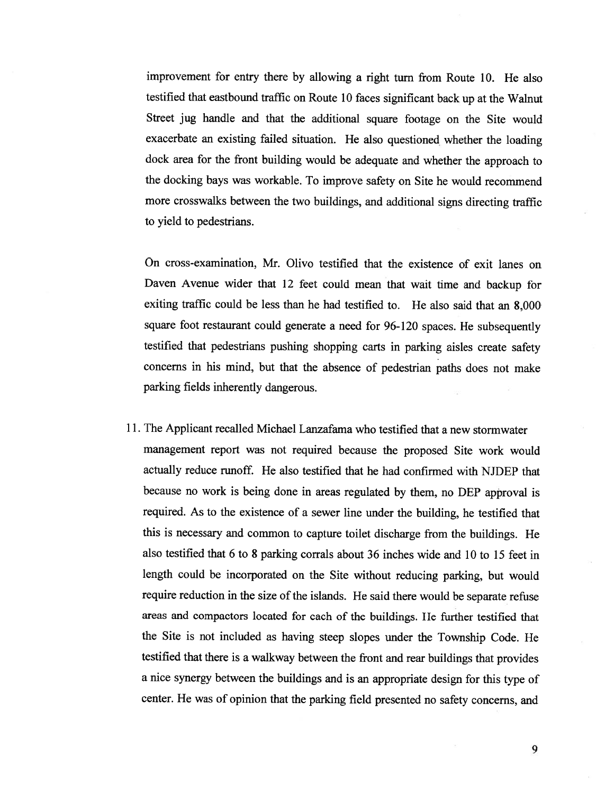improvement for entry there by allowing <sup>a</sup> right turn from Route 10. He also testified that eastbound traffic on Route <sup>10</sup> faces significant back up at the Walnut Street jug handle and that the additional square footage on the Site would exacerbate an existing failed situation. He also questioned whether the loading dock area for the front building would be adequate and whether the approac<sup>h</sup> to the docking bays was workable. To improve safety on Site he would recommend more crosswalks between the two buildings, and additional signs directing traffic to yield to pedestrians.

On cross-examination, Mr. Olivo testified that the existence of exit lanes on Daven Avenue wider that <sup>12</sup> feet could mean that wait time and backup for exiting traffic could be less than he had testified to. He also said that an 8,000 square foot restaurant could generate <sup>a</sup> need for 96-120 spaces. He subsequently testified that pedestrians pushing shopping carts in parking aisles create safety concerns in his mind, but that the absence of pedestrian paths does not make parking fields inherently dangerous.

11. The Applicant recalled Michael Lanzafama who testified that <sup>a</sup> new stormwater managemen<sup>t</sup> repor<sup>t</sup> was not required because the proposed Site work would actually reduce runoff. He also testified that he had confirmed with NJDEP that because no work is being done in areas regulated by them, no DEP approva<sup>l</sup> is required. As to the existence of <sup>a</sup> sewer line under the building, he testified that this is necessary and common to capture toilet discharge from the buildings. He also testified that <sup>6</sup> to <sup>8</sup> parking corrals about <sup>36</sup> inches wide and <sup>10</sup> to 15 feet in length could be incorporated on the Site without reducing parking, but would require reduction in the size of the islands. He said there would be separate refuse areas and compactors located for each of the buildings. He further testified that the Site is not included as having steep slopes under the Township Code. He testified that there is <sup>a</sup> walkway between the front and rear buildings that provides <sup>a</sup> nice synergy between the buildings and is an appropriate design for this type of center. He was of opinion that the parking field presented no safety concerns, and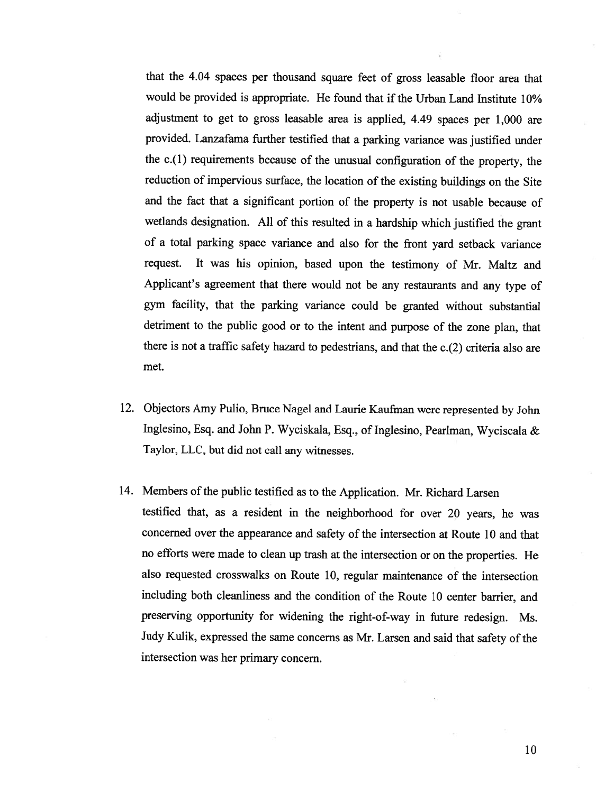that the 4.04 spaces per thousand square feet of gross leasable floor area that would be provided is appropriate. He found that if the Urban Land Institute 10% adjustment to get to gross leasable area is applied, 4.49 spaces per 1,000 are provided. Lanzafama further testified that <sup>a</sup> parking variance was justified under the c.(1) requirements because of the unusual configuration of the property, the reduction of impervious surface, the location of the existing buildings on the Site and the fact that <sup>a</sup> significant portion of the property is not usable because of wetlands designation. All of this resulted in <sup>a</sup> hardship which justified the grant of <sup>a</sup> total parking space variance and also for the front yard setback variance request. It was his opinion, based upon the testimony of Mr. Maltz and Applicant's agreement that there would not be any restaurants and any type of gym facility, that the parking variance could be granted without substantial detriment to the public good or to the intent and purpose of the zone <sup>p</sup>lan, that there is not <sup>a</sup> traffic safety hazard to pedestrians, and that the c.(2) criteria also are met.

- 12. Objectors Amy Pulio, Bruce Nagel and Laurie Kaufman were represented by John Inglesino, Esq. and John P. Wyciskala, Esq., of Inglesino, Peariman, Wyciscala & Taylor, LLC, but did not call any witnesses.
- 14. Members of the public testified as to the Application. Mr. Richard Larsen testified that, as <sup>a</sup> resident in the neighborhood for over <sup>20</sup> years, he was concerned over the appearance and safety of the intersection at Route <sup>10</sup> and that no efforts were made to clean up trash at the intersection or on the properties. He also requested crosswalks on Route 10, regular maintenance of the intersection including both cleanliness and the condition of the Route <sup>10</sup> center barrier, and preserving opportunity for widening the right-of-way in future redesign. Ms. Judy Kulik, expressed the same concerns as Mr. Larsen and said that safety of the intersection was her primary concern.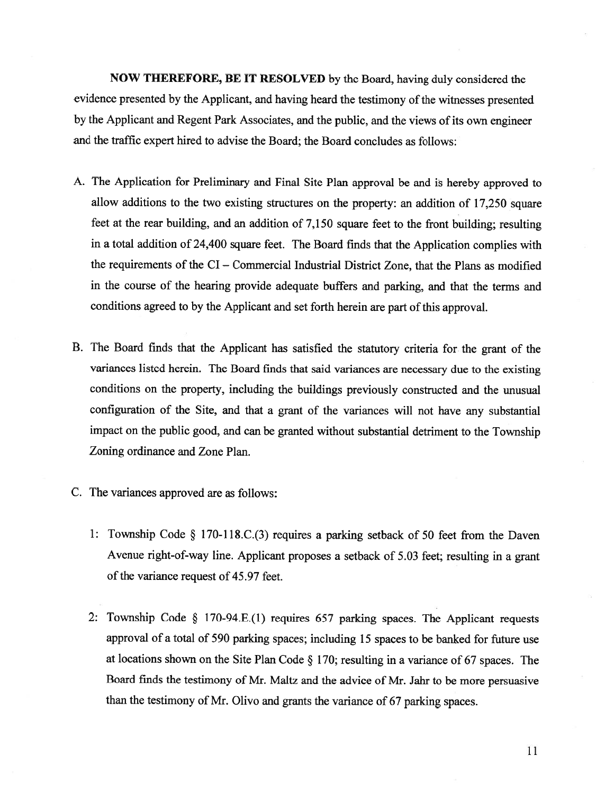NOW THEREFORE, BE IT RESOLVED by the Board, having duly considered the evidence presented by the Applicant, and having heard the testimony of the witnesses presented by the Applicant and Regent Park Associates, and the public, and the views of its own engineer and the traffic exper<sup>t</sup> hired to advise the Board; the Board concludes as follows:

- A. The Application for Preliminary and Final Site Plan approva<sup>l</sup> be and is hereby approve<sup>d</sup> to allow additions to the two existing structures on the property: an addition of 17,250 square feet at the rear building, and an addition of 7,150 square feet to the front building; resulting in <sup>a</sup> total addition of 24,400 square feet. The Board finds that the Application complies with the requirements of the CI — Commercial Industrial District Zone, that the Plans as modified in the course of the hearing provide adequate buffers and parking, and that the terms and conditions agreed to by the Applicant and set forth herein are part of this approval.
- B. The Board finds that the Applicant has satisfied the statutory criteria for the gran<sup>t</sup> of the variances listed herein. The Board finds that said variances are necessary due to the existing conditions on the property, including the buildings previously constructed and the unusual configuration of the Site, and that <sup>a</sup> gran<sup>t</sup> of the variances will not have any substantial impact on the public good, and can be granted without substantial detriment to the Township Zoning ordinance and Zone Plan.
- C. The variances approved are as follows:
	- 1: Township Code § 170-118 .C.(3) requires <sup>a</sup> parking setback of <sup>50</sup> feet from the Daven Avenue right-of-way line. Applicant proposes <sup>a</sup> setback of 5.03 feet; resulting in <sup>a</sup> gran<sup>t</sup> of the variance request of 45.97 feet.
	- 2: Township Code § 170-94.E.(1) requires <sup>657</sup> parking spaces. The Applicant requests approva<sup>l</sup> of <sup>a</sup> total of <sup>590</sup> parking spaces; including <sup>15</sup> spaces to be banked for future use at locations shown on the Site Plan Code § 170; resulting in <sup>a</sup> variance of <sup>67</sup> spaces. The Board finds the testimony of Mr. Maltz and the advice of Mr. Jahr to be more persuasive than the testimony of Mr. Olivo and grants the variance of <sup>67</sup> parking spaces.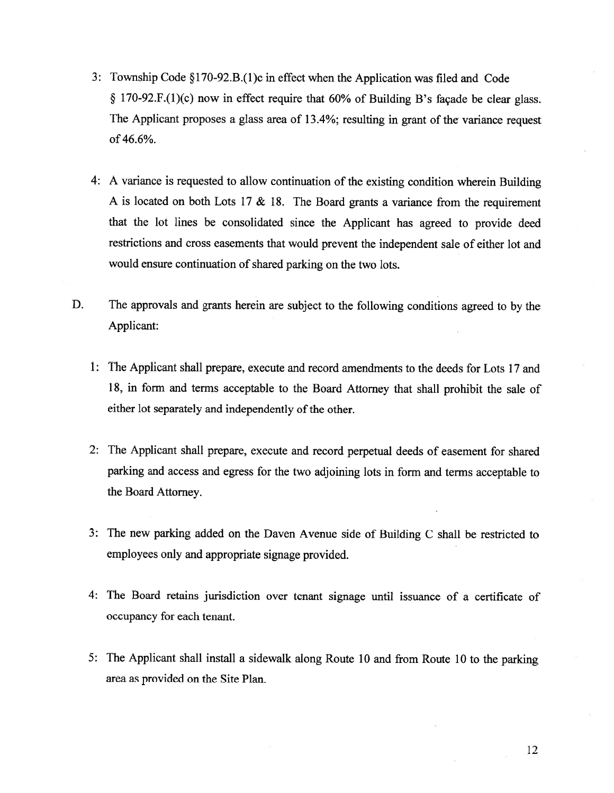- 3: Township Code §1 70-92.B.( <sup>1</sup> )c in effect when the Application was filed and Code  $\S$  170-92.F.(1)(c) now in effect require that 60% of Building B's façade be clear glass. The Applicant proposes <sup>a</sup> <sup>g</sup>lass area of 13.4%; resulting in gran<sup>t</sup> of the variance reques<sup>t</sup> of 46.6%.
- 4: <sup>A</sup> variance is requested to allow continuation of the existing condition wherein Building <sup>A</sup> is located on both Lots <sup>17</sup> & 18. The Board grants <sup>a</sup> variance from the requirement that the lot lines be consolidated since the Applicant has agree<sup>d</sup> to provide deed restrictions and cross easements that would preven<sup>t</sup> the independent sale of either lot and would ensure continuation of shared parking on the two lots.
- D. The approvals and grants herein are subject to the following conditions agree<sup>d</sup> to by the Applicant:
	- 1: The Applicant shall prepare, execute and record amendments to the deeds for Lots 17 and 18, in form and terms acceptable to the Board Attorney that shall prohibit the sale of either lot separately and independently of the other.
	- 2: The Applicant shall prepare, execute and record perpetual deeds of easement for shared parking and access and egress for the two adjoining lots in form and terms acceptable to the Board Attorney.
	- 3: The new parking added on the Daven Avenue side of Building <sup>C</sup> shall be restricted to employees only and appropriate signage provided.
	- 4: The Board retains jurisdiction over tenant signage until issuance of <sup>a</sup> certificate of occupancy for each tenant.
	- 5: The Applicant shall install <sup>a</sup> sidewalk along Route <sup>10</sup> and from Route <sup>10</sup> to the parking area as provided on the Site Plan.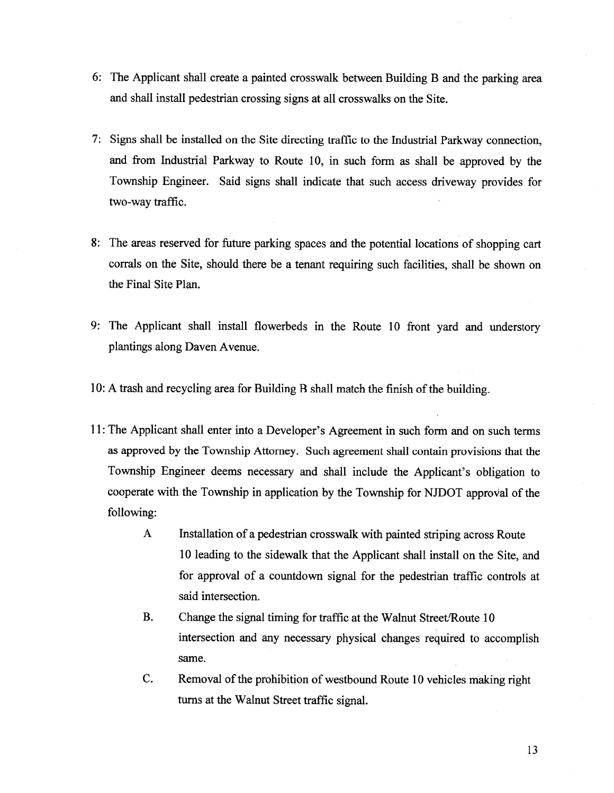- 6: The Applicant shall create <sup>a</sup> painted crosswalk between Building <sup>B</sup> and the parking area and shall install pedestrian crossing signs at all crosswalks on the Site.
- 7: Signs shall be installed on the Site directing traffic to the Industrial Parkway connection, and from Industrial Parkway to Route 10, in such form as shall be approve<sup>d</sup> by the Township Engineer. Said signs shall indicate that such access driveway provides for two-way traffic.
- 8: The areas reserved for future parking spaces and the potential locations of shopping cart corrals on the Site, should there be <sup>a</sup> tenant requiring such facilities, shall be shown on the Final Site Plan.
- 9: The Applicant shall install flowerbeds in the Route <sup>10</sup> front yar<sup>d</sup> and understory plantings along Daven Avenue.
- 10: A trash and recycling area for Building B shall match the finish of the building.
- 11: The Applicant shall enter into <sup>a</sup> Developer's Agreement in such form and on such terms as approve<sup>d</sup> by the Township Attorney. Such agreemen<sup>t</sup> shall contain provisions that the Township Engineer deems necessary and shall include the Applicant's obligation to cooperate with the Township in application by the Township for NJDOT approval of the following:
	- <sup>A</sup> Installation of <sup>a</sup> pedestrian crosswalk with painted striping across Route 10 leading to the sidewalk that the Applicant shall install on the Site, and for approval of <sup>a</sup> countdown signal for the pedestrian traffic controls at said intersection.
	- B. Change the signal timing for traffic at the Walnut Street/Route 10 intersection and any necessary <sup>p</sup>hysical changes required to accomplish same.
	- C. Removal of the prohibition of westbound Route <sup>10</sup> vehicles making right turns at the Walnut Street traffic signal.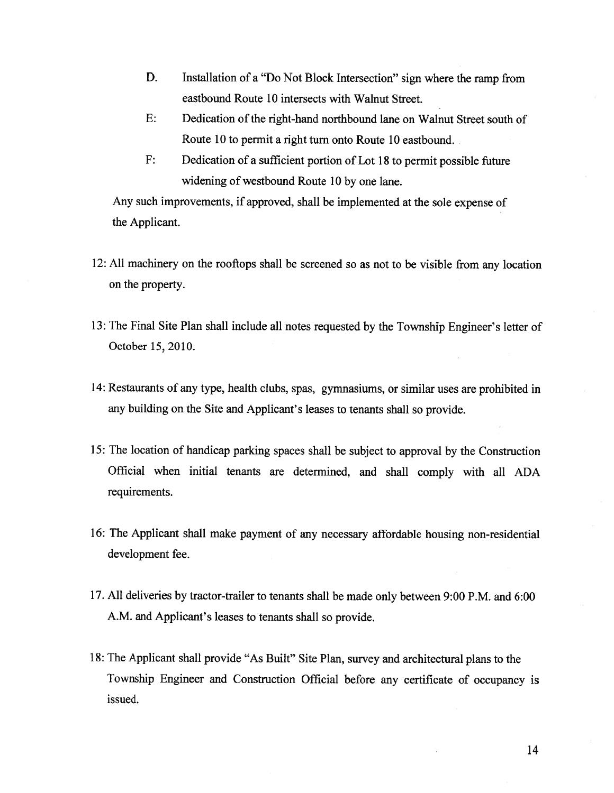- D. Installation of <sup>a</sup> "Do Not Block Intersection" sign where the ramp from eastbound Route 10 intersects with Walnut Street.
- E: Dedication of the right-hand northbound lane on Walnut Street south of Route 10 to permit <sup>a</sup> right turn onto Route 10 eastbound.
- F: Dedication of <sup>a</sup> sufficient portion of Lot 18 to permit possible future widening of westbound Route 10 by one lane.

Any such improvements, if approved, shall be implemented at the sole expense of the Applicant.

- 12: All machinery on the rooftops shall be screened so as not to be visible from any location on the property.
- 13: The Final Site Plan shall include all notes requested by the Township Engineer's letter of October 15, 2010.
- 14: Restaurants of any type, health clubs, spas, gymnasiums, or similar uses are prohibited in any building on the Site and Applicant's leases to tenants shall so provide.
- 15: The location of handicap parking spaces shall be subject to approva<sup>l</sup> by the Construction Official when initial tenants are determined, and shall comply with all ADA requirements.
- 16: The Applicant shall make paymen<sup>t</sup> of any necessary affordable housing non-residential development fee.
- 17. All deliveries by tractor-trailer to tenants shall be made only between 9:00 P.M. and 6:00 A.M. and Applicant's leases to tenants shall so provide.
- 18: The Applicant shall provide "As Built" Site Plan, survey and architectural <sup>p</sup>lans to the Township Engineer and Construction Official before any certificate of occupancy is issued.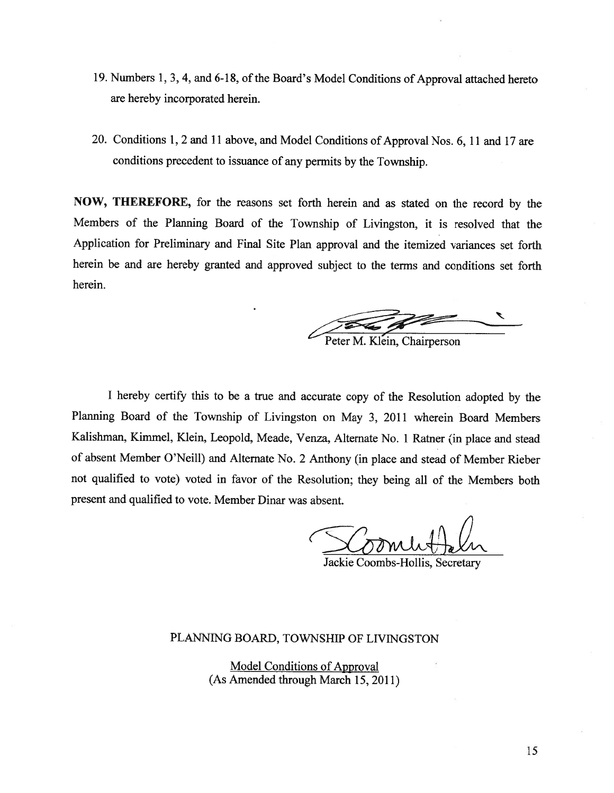- 19. Numbers 1, 3, 4, and 6-18, of the Board's Model Conditions of Approval attached hereto are hereby incorporated herein.
- 20. Conditions 1, <sup>2</sup> and <sup>11</sup> above, and Model Conditions of Approval Nos. 6, <sup>11</sup> and <sup>17</sup> are conditions precedent to issuance of any permits by the Township.

NOW, THEREFORE, for the reasons set forth herein and as stated on the record by the Members of the Planning Board of the Township of Livingston, it is resolved that the Application for Preliminary and Final Site Plan approva<sup>l</sup> and the itemized variances set forth herein be and are hereby granted and approve<sup>d</sup> subject to the terms and conditions set forth herein.

Peter M. Klein, Chairperson

<sup>I</sup> hereby certify this to be <sup>a</sup> true and accurate copy of the Resolution adopted by the Planning Board of the Township of Livingston on May 3, <sup>2011</sup> wherein Board Members Kalishman, Kimmel, Klein, Leopold, Meade, Venza, Alternate No. <sup>1</sup> Ratner (in <sup>p</sup>lace and stead of absent Member O'Neill) and Alternate No. <sup>2</sup> Anthony (in <sup>p</sup>lace and stead of Member Rieber not qualified to vote) voted in favor of the Resolution; they being all of the Members both presen<sup>t</sup> and qualified to vote. Member Dinar was absent.

Jackie Coombs-Hollis, Secretary

### PLANMNG BOARD, TOWNSHIP OF LIWNGSTON

Model Conditions of Approval (As Amended through March 15, 2011)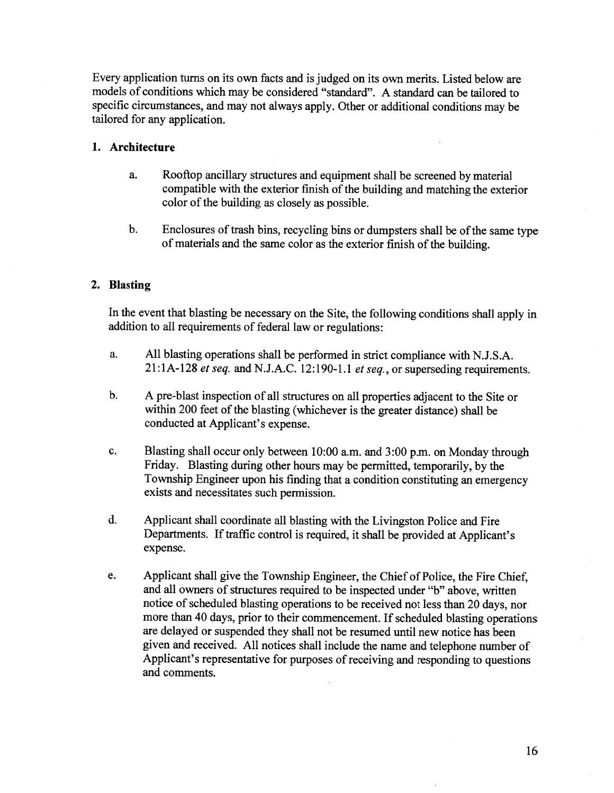Every application turns on its own facts and is judged on its own merits. Listed below are models of conditions which may be considered "standard". <sup>A</sup> standard can be tailored to specific circumstances, and may not always apply. Other or additional conditions may be tailored for any application.

### 1. Architecture

- a. Rooftop ancillary structures and equipment shall be screened by material compatible with the exterior finish of the building and matching the exterior color of the building as closely as possible.
- b. Enclosures of trash bins, recycling bins or dumpsters shall be of the same type of materials and the same color as the exterior finish of the building.

#### 2. Blasting

In the event that blasting be necessary on the Site, the following conditions shall apply in addition to all requirements of federal law or regulations:

- a. All blasting operations shall be performed in strict compliance with N.J.S.A. 21:1A-128 et seq. and N.J.A.C. 12:190-1.1 et seq., or superseding requirements.
- b. <sup>A</sup> pre-blast inspection of all structures on all properties adjacent to the Site or within 200 feet of the blasting (whichever is the greater distance) shall be conducted at Applicant's expense.
- c. Blasting shall occur only between 10:00 a.m. and 3:00 p.m. on Monday through Friday. Blasting during other hours may be permitted, temporarily, by the Township Engineer upon his finding that <sup>a</sup> condition constituting an emergency exists and necessitates such permission.
- d. Applicant shall coordinate all blasting with the Livingston Police and Fire Departments. If traffic control is required, it shall be provided at Applicant's expense.
- e. Applicant shall <sup>g</sup>ive the Township Engineer, the Chief of Police, the Fire Chief, and all owners of structures required to be inspected under "b" above, written notice of scheduled blasting operations to be received not less than 20 days, nor more than <sup>40</sup> days, prior to their commencement. If scheduled blasting operations are delayed or suspended they shall not be resumed until new notice has been <sup>g</sup>iven and received. All notices shall include the name and telephone number of Applicant's representative for purposes of receiving and responding to questions and comments.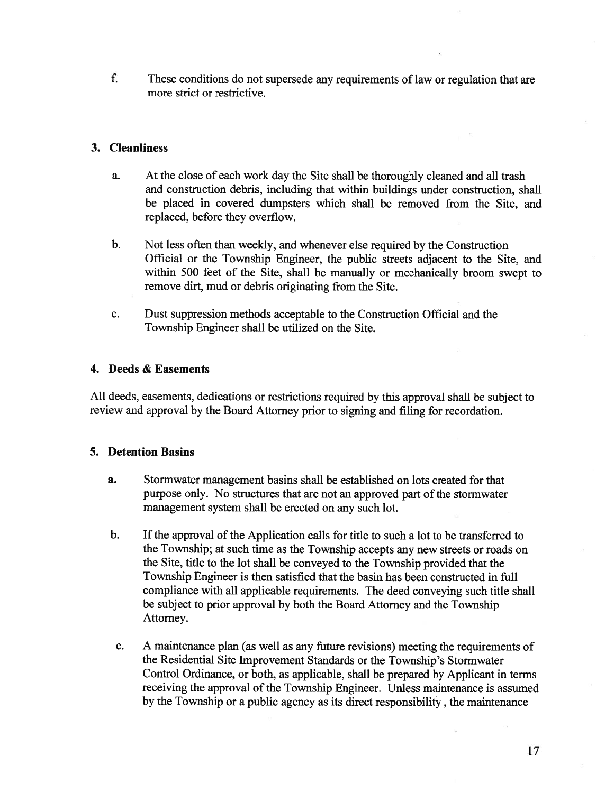f. These conditions do not supersede any requirements of law or regulation that are more strict or restrictive.

## 3. Cleanliness

- a. At the close of each work day the Site shall be thoroughly cleaned and all trash and construction debris, including that within buildings under construction, shall be placed in covered dumpsters which shall be removed from the Site, and replaced, before they overflow.
- b. Not less often than weekly, and whenever else required by the Construction Official or the Township Engineer, the public streets adjacent to the Site, and within 500 feet of the Site, shall be manually or mechanically broom swep<sup>t</sup> to remove dirt, mud or debris originating from the Site.
- c. Dust suppression methods acceptable to the Construction Official and the Township Engineer shall be utilized on the Site.

# 4. Deeds & Easements

All deeds, easements, dedications or restrictions required by this approva<sup>l</sup> shall be subject to review and approva<sup>l</sup> by the Board Attorney prior to signing and filing for recordation.

## 5. Detention Basins

- a. Stormwater managemen<sup>t</sup> basins shall be established on lots created for that purpose only. No structures that are not an approved part of the stormwater managemen<sup>t</sup> system shall be erected on any such lot.
- b. If the approval of the Application calls for title to such a lot to be transferred to the Township; at such time as the Township accepts any new streets or roads on the Site, title to the lot shall be conveyed to the Township provided that the Township Engineer is then satisfied that the basin has been constructed in full compliance with all applicable requirements. The deed conveying such title shall be subject to prior approval by both the Board Attorney and the Township Attorney.
- c. <sup>A</sup> maintenance <sup>p</sup>lan (as well as any future revisions) meeting the requirements of the Residential Site Improvement Standards or the Township's Stormwater Control Ordinance, or both, as applicable, shall be prepared by Applicant in terms receiving the approval of the Township Engineer. Unless maintenance is assumed by the Township or <sup>a</sup> public agency as its direct responsibility , the maintenance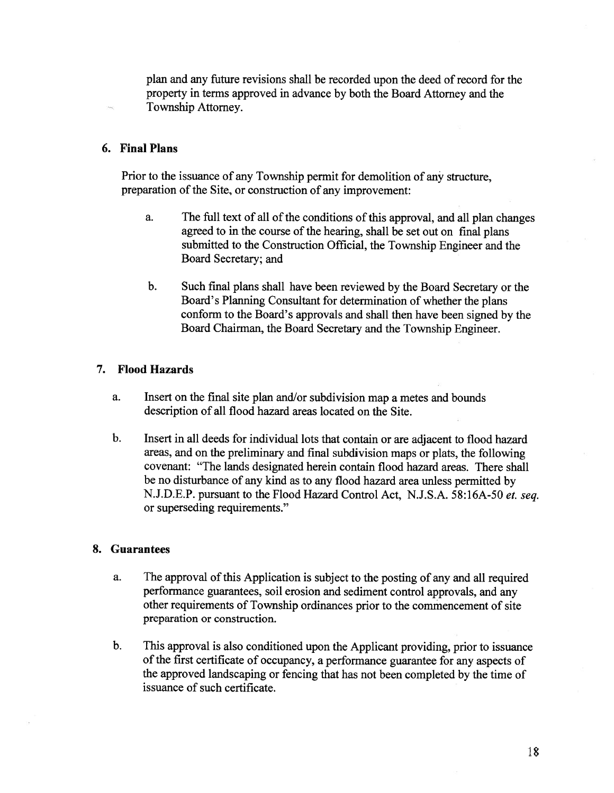plan and any future revisions shall be recorded upon the deed of record for the property in terms approved in advance by both the Board Attorney and the Township Attorney.

#### 6. Final Plans

Prior to the issuance of any Township permit for demolition of any structure, preparation of the Site, or construction of any improvement:

- a. The full text of all of the conditions of this approval, and all plan changes agreed to in the course of the hearing, shall be set out on final plans submitted to the Construction Official, the Township Engineer and the Board Secretary; and
- b. Such final <sup>p</sup>lans shall have been reviewed by the Board Secretary or the Board's Planning Consultant for determination of whether the plans conform to the Board's approvals and shall then have been signed by the Board Chairman, the Board Secretary and the Township Engineer.

#### 7. Flood Hazards

- a. Insert on the final site <sup>p</sup>lan and/or subdivision map <sup>a</sup> metes and bounds description of all flood hazard areas located on the Site.
- b. Insert in all deeds for individual lots that contain or are adjacent to flood hazard areas, and on the preliminary and final subdivision maps or <sup>p</sup>lats, the following covenant: "The lands designated herein contain flood hazard areas. There shall be no disturbance of any kind as to any flood hazard area unless permitted by N.J.D.E.P. pursuan<sup>t</sup> to the Flood Hazard Control Act, N.J.S.A. 58:16A-50 et. seq. or superseding requirements."

#### 8. Guarantees

- a. The approval of this Application is subject to the posting of any and all required performance guarantees, soil erosion and sediment control approvals, and any other requirements of Township ordinances prior to the commencement of site preparation or construction.
- b. This approva<sup>l</sup> is also conditioned upon the Applicant providing, prior to issuance of the first certificate of occupancy, a performance guarantee for any aspects of the approve<sup>d</sup> landscaping or fencing that has not been completed by the time of issuance of such certificate.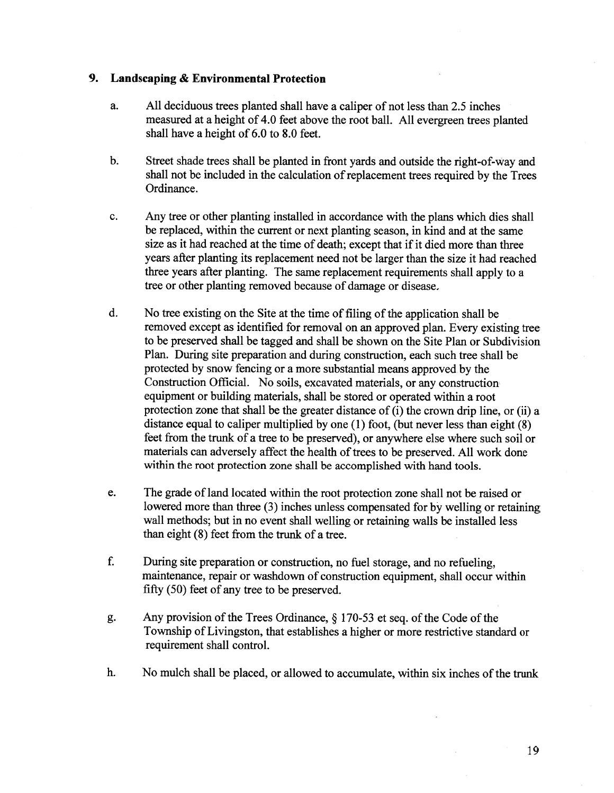### 9. Landscaping & Environmental Protection

- a. All deciduous trees planted shall have <sup>a</sup> caliper of not less than 2.5 inches measured at <sup>a</sup> height of 4.0 feet above the root ball. All evergreen trees <sup>p</sup>lanted shall have <sup>a</sup> height of 6.0 to 8.0 feet.
- b. Street shade trees shall be <sup>p</sup>lanted in front yards and outside the right-of-way and shall not be included in the calculation of replacement trees required by the Trees Ordinance.
- c. Any tree or other <sup>p</sup>lanting installed in accordance with the <sup>p</sup>lans which dies shall be replaced, within the current or next planting season, in kind and at the same size as it had reached at the time of death; excep<sup>t</sup> that if it died more than three years after <sup>p</sup>lanting its replacement need not be larger than the size it had reached three years after <sup>p</sup>lanting. The same replacement requirements shall apply to <sup>a</sup> tree or other planting removed because of damage or disease.
- d. No tree existing on the Site at the time of filing of the application shall be removed excep<sup>t</sup> as identified for removal on an approve<sup>d</sup> <sup>p</sup>lan. Every existing tree to be preserved shall be tagged and shall be shown on the Site Plan or Subdivision Plan. During site preparation and during construction, each such tree shall be protected by snow fencing or <sup>a</sup> more substantial means approve<sup>d</sup> by the Construction Official. No soils, excavated materials, or any construction equipment or building materials, shall be stored or operated within <sup>a</sup> root protection zone that shall be the greater distance of (i) the crown drip line, or (ii) <sup>a</sup> distance equa<sup>l</sup> to caliper multiplied by one (1) foot, (but never less than eight (8) feet from the trunk of <sup>a</sup> tree to be preserved), or anywhere else where such soil or materials can adversely affect the health of trees to be preserved. All work done within the root protection zone shall be accomplished with hand tools.
- e. The grade of land located within the root protection zone shall not be raised or lowered more than three (3) inches unless compensated for by welling or retaining wall methods; but in no event shall welling or retaining walls be installed less than eight (8) feet from the trunk of <sup>a</sup> tree.
- f. During site preparation or construction, no fuel storage, and no refueling, maintenance, repair or washdown of construction equipment, shall occur within fifty (50) feet of any tree to be preserved.
- g. Any provision of the Trees Ordinance,  $\S$  170-53 et seq. of the Code of the Township of Livingston, that establishes <sup>a</sup> higher or more restrictive standard or requirement shall control.
- h. No mulch shall be placed, or allowed to accumulate, within six inches of the trunk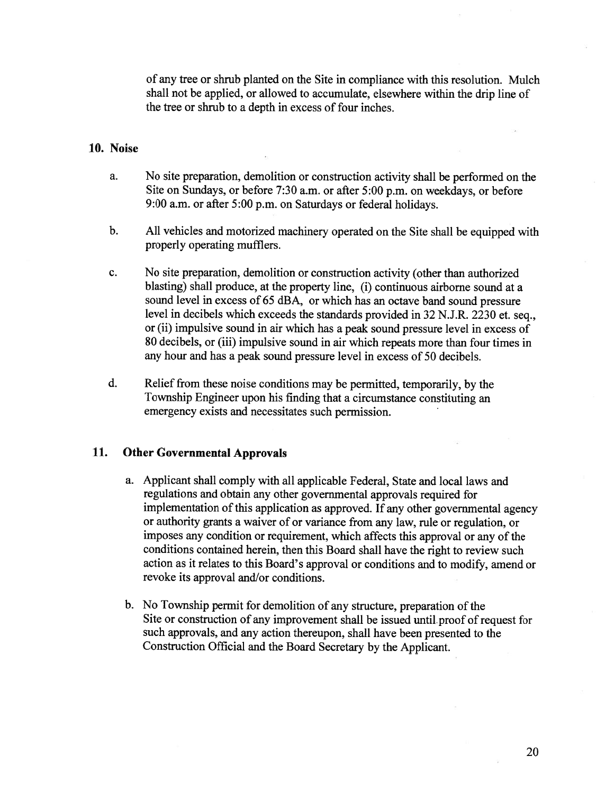of any tree or shrub <sup>p</sup>lanted on the Site in compliance with this resolution. Mulch shall not be applied, or allowed to accumulate, elsewhere within the drip line of the tree or shrub to <sup>a</sup> depth in excess of four inches.

#### 10. Noise

- a. No site preparation, demolition or construction activity shall be performed on the Site on Sundays, or before 7:30 a.m. or after 5:00 p.m. on weekdays, or before 9:00 a.m. or after 5:00 p.m. on Saturdays or federal holidays.
- b. All vehicles and motorized machinery operated on the Site shall be equipped with properly operating mufflers.
- c. No site preparation, demolition or construction activity (other than authorized blasting) shall produce, at the property line, (i) continuous airborne sound at <sup>a</sup> sound level in excess of <sup>65</sup> dBA, or which has an octave band sound pressure level in decibels which exceeds the standards provided in <sup>32</sup> N.J.R. <sup>2230</sup> et. seq., or (ii) impulsive sound in air which has <sup>a</sup> pea<sup>k</sup> sound pressure level in excess of 80 decibels, or (iii) impulsive sound in air which repeats more than four times in any hour and has <sup>a</sup> peak sound pressure level in excess of 50 decibels.
- d. Relief from these noise conditions may be permitted, temporarily, by the Township Engineer upon his finding that <sup>a</sup> circumstance constituting an emergency exists and necessitates such permission.

#### 11. Other Governmental Approvals

- a. Applicant shall comply with all applicable Federal, State and local laws and regulations and obtain any other governmental approvals required for implementation of this application as approved. If any other governmental agency or authority grants <sup>a</sup> waiver of or variance from any law, rule or regulation, or imposes any condition or requirement, which affects this approva<sup>l</sup> or any of the conditions contained herein, then this Board shall have the right to review such action as it relates to this Board's approva<sup>l</sup> or conditions and to modify, amend or revoke its approval and/or conditions.
- b. No Township permit for demolition of any structure, preparation of the Site or construction of any improvement shall be issued until proo<sup>f</sup> of reques<sup>t</sup> for such approvals, and any action thereupon, shall have been presented to the Construction Official and the Board Secretary by the Applicant.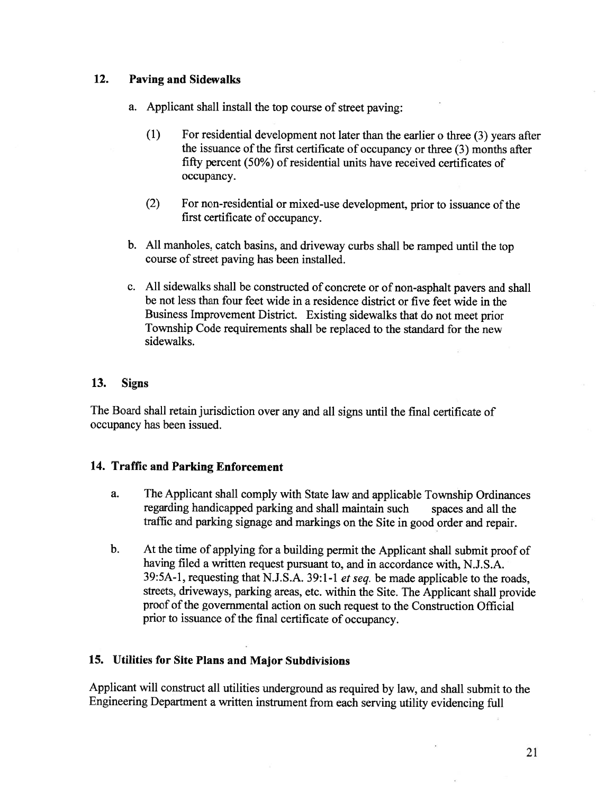### 12. Paving and Sidewalks

- a. Applicant shall install the top course of street paving:
	- (1) For residential development not later than the earlier <sup>o</sup> three (3) years after the issuance of the first certificate of occupancy or three  $(3)$  months after fifty percent (50%) of residential units have received certificates of occupancy.
	- (2) For non-residential or mixed-use development, prior to issuance of the first certificate of occupancy.
- b. All manholes, catch basins, and driveway curbs shall be ramped until the top course of street paving has been installed.
- c. All sidewalks shall be constructed of concrete or of non-asphalt payers and shall be not less than four feet wide in <sup>a</sup> residence district or five feet wide in the Business Improvement District. Existing sidewalks that do not meet prior Township Code requirements shall be replaced to the standard for the new sidewalks.

#### 13. Signs

The Board shall retain jurisdiction over any and all signs until the final certificate of occupancy has been issued.

### 14. Traffic and Parking Enforcement

- a. The Applicant shall comply with State law and applicable Township Ordinances regarding handicapped parking and shall maintain such spaces and all the traffic and parking signage and markings on the Site in good order and repair.
- b. At the time of applying for <sup>a</sup> building permit the Applicant shall submit proof of having filed <sup>a</sup> written request pursuant to, and in accordance with, N.J.S.A. 39:5A-1, requesting that N.J.S.A. 39:1-1 et seq. be made applicable to the roads, streets, driveways, parking areas, etc. within the Site. The Applicant shall provide proof of the governmental action on such request to the Construction Official prior to issuance of the final certificate of occupancy.

### 15. Utilities for Site Plans and Major Subdivisions

Applicant will construct all utilities underground as required by law, and shall submit to the Engineering Department <sup>a</sup> written instrument from each serving utility evidencing full